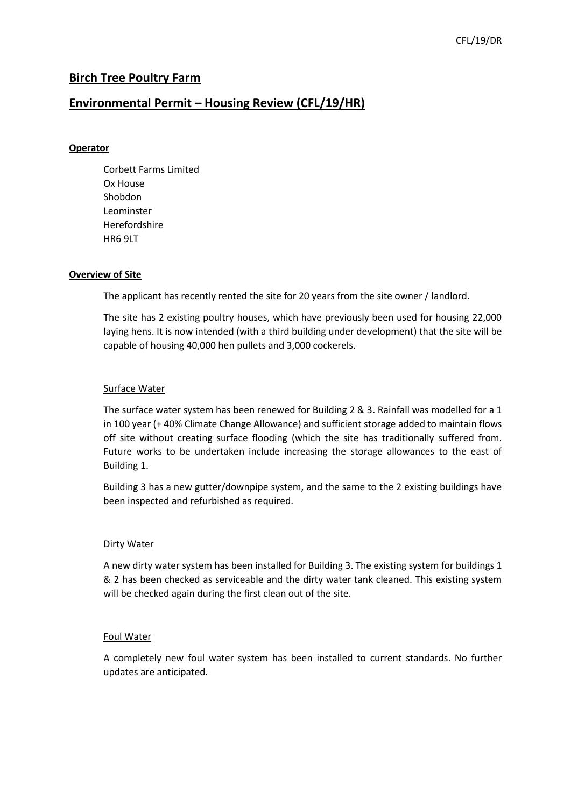## **Birch Tree Poultry Farm**

### **Environmental Permit – Housing Review (CFL/19/HR)**

#### **Operator**

Corbett Farms Limited Ox House Shobdon Leominster Herefordshire HR6 9LT

#### **Overview of Site**

The applicant has recently rented the site for 20 years from the site owner / landlord.

The site has 2 existing poultry houses, which have previously been used for housing 22,000 laying hens. It is now intended (with a third building under development) that the site will be capable of housing 40,000 hen pullets and 3,000 cockerels.

#### Surface Water

The surface water system has been renewed for Building 2 & 3. Rainfall was modelled for a 1 in 100 year (+ 40% Climate Change Allowance) and sufficient storage added to maintain flows off site without creating surface flooding (which the site has traditionally suffered from. Future works to be undertaken include increasing the storage allowances to the east of Building 1.

Building 3 has a new gutter/downpipe system, and the same to the 2 existing buildings have been inspected and refurbished as required.

#### Dirty Water

A new dirty water system has been installed for Building 3. The existing system for buildings 1 & 2 has been checked as serviceable and the dirty water tank cleaned. This existing system will be checked again during the first clean out of the site.

#### Foul Water

A completely new foul water system has been installed to current standards. No further updates are anticipated.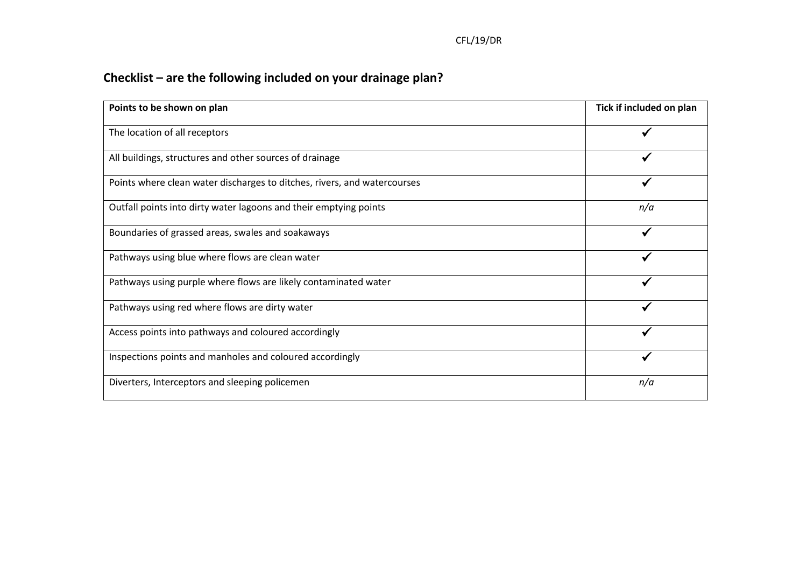# **Checklist – are the following included on your drainage plan?**

| Points to be shown on plan                                               | Tick if included on plan |  |
|--------------------------------------------------------------------------|--------------------------|--|
| The location of all receptors                                            |                          |  |
| All buildings, structures and other sources of drainage                  |                          |  |
| Points where clean water discharges to ditches, rivers, and watercourses |                          |  |
| Outfall points into dirty water lagoons and their emptying points        | n/a                      |  |
| Boundaries of grassed areas, swales and soakaways                        |                          |  |
| Pathways using blue where flows are clean water                          |                          |  |
| Pathways using purple where flows are likely contaminated water          |                          |  |
| Pathways using red where flows are dirty water                           |                          |  |
| Access points into pathways and coloured accordingly                     |                          |  |
| Inspections points and manholes and coloured accordingly                 |                          |  |
| Diverters, Interceptors and sleeping policemen                           | n/a                      |  |